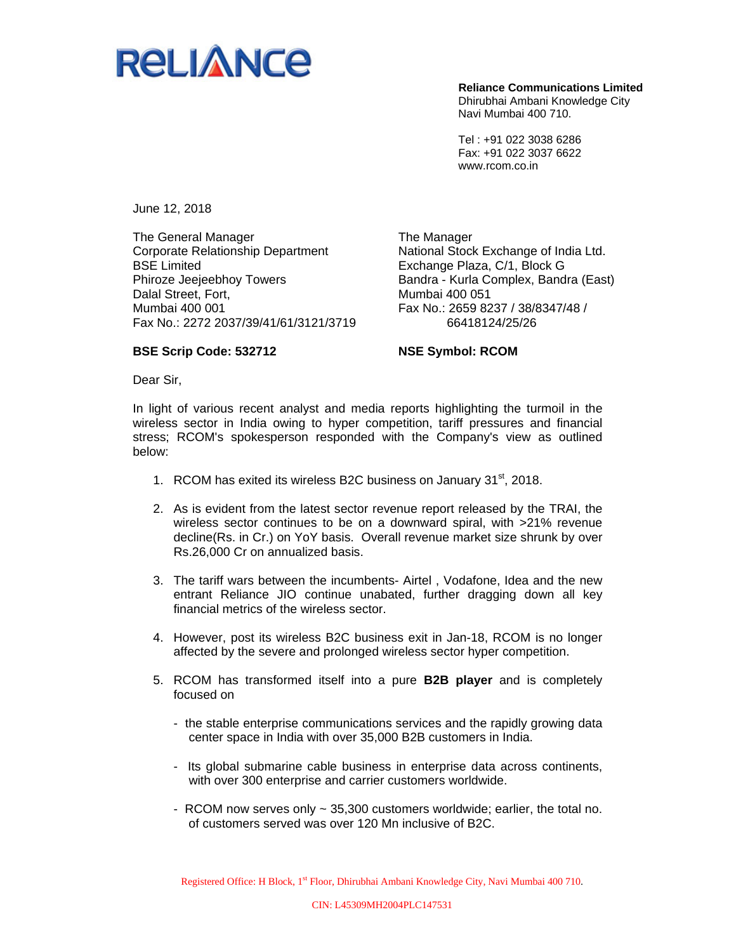

**Reliance Communications Limited**  Dhirubhai Ambani Knowledge City Navi Mumbai 400 710.

Tel : +91 022 3038 6286 Fax: +91 022 3037 6622 www.rcom.co.in

June 12, 2018

The General Manager Corporate Relationship Department BSE Limited Phiroze Jeejeebhoy Towers Dalal Street, Fort, Mumbai 400 001 Fax No.: 2272 2037/39/41/61/3121/3719 The Manager National Stock Exchange of India Ltd. Exchange Plaza, C/1, Block G Bandra - Kurla Complex, Bandra (East) Mumbai 400 051 Fax No.: 2659 8237 / 38/8347/48 / 66418124/25/26

## **BSE Scrip Code: 532712**

**NSE Symbol: RCOM** 

Dear Sir,

In light of various recent analyst and media reports highlighting the turmoil in the wireless sector in India owing to hyper competition, tariff pressures and financial stress; RCOM's spokesperson responded with the Company's view as outlined below:

- 1. RCOM has exited its wireless B2C business on January 31<sup>st</sup>, 2018.
- 2. As is evident from the latest sector revenue report released by the TRAI, the wireless sector continues to be on a downward spiral, with >21% revenue decline(Rs. in Cr.) on YoY basis. Overall revenue market size shrunk by over Rs.26,000 Cr on annualized basis.
- 3. The tariff wars between the incumbents- Airtel , Vodafone, Idea and the new entrant Reliance JIO continue unabated, further dragging down all key financial metrics of the wireless sector.
- 4. However, post its wireless B2C business exit in Jan-18, RCOM is no longer affected by the severe and prolonged wireless sector hyper competition.
- 5. RCOM has transformed itself into a pure **B2B player** and is completely focused on
	- the stable enterprise communications services and the rapidly growing data center space in India with over 35,000 B2B customers in India.
	- Its global submarine cable business in enterprise data across continents, with over 300 enterprise and carrier customers worldwide.
	- RCOM now serves only ~ 35,300 customers worldwide; earlier, the total no. of customers served was over 120 Mn inclusive of B2C.

Registered Office: H Block, 1<sup>st</sup> Floor, Dhirubhai Ambani Knowledge City, Navi Mumbai 400 710.